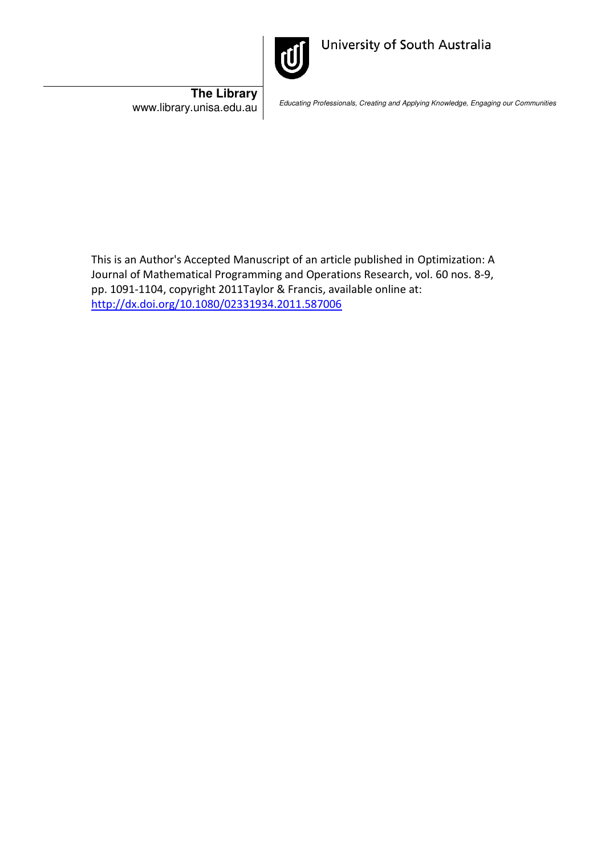

University of South Australia

**The Library**<br>www.library.unisa.edu.au

Educating Professionals, Creating and Applying Knowledge, Engaging our Communities

This is an Author's Accepted Manuscript of an article published in Optimization: A Journal of Mathematical Programming and Operations Research, vol. 60 nos. 8-9, pp. 1091-1104, copyright 2011Taylor & Francis, available online at: <http://dx.doi.org/10.1080/02331934.2011.587006>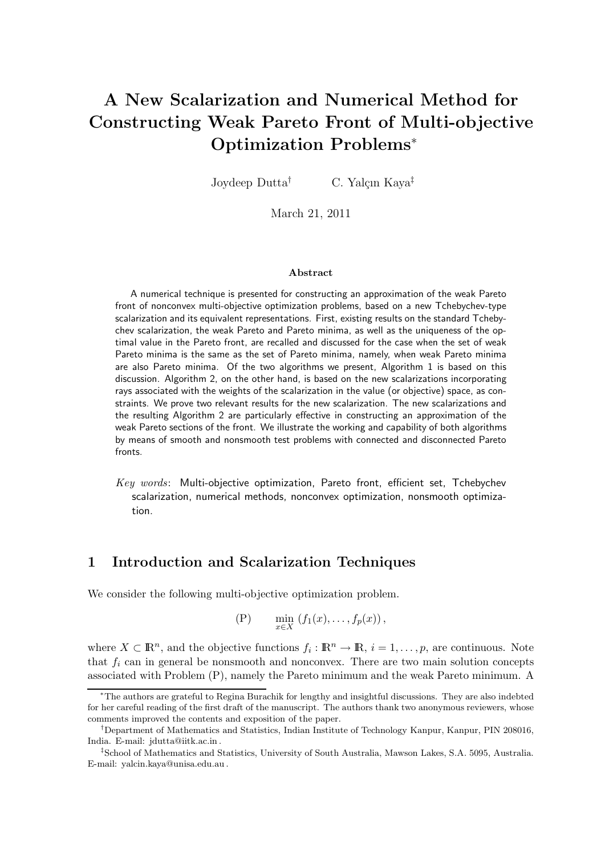# A New Scalarization and Numerical Method for Constructing Weak Pareto Front of Multi-objective Optimization Problems<sup>∗</sup>

Joydeep Dutta<sup>†</sup> C. Yalçın Kaya<sup>‡</sup>

March 21, 2011

#### Abstract

A numerical technique is presented for constructing an approximation of the weak Pareto front of nonconvex multi-objective optimization problems, based on a new Tchebychev-type scalarization and its equivalent representations. First, existing results on the standard Tchebychev scalarization, the weak Pareto and Pareto minima, as well as the uniqueness of the optimal value in the Pareto front, are recalled and discussed for the case when the set of weak Pareto minima is the same as the set of Pareto minima, namely, when weak Pareto minima are also Pareto minima. Of the two algorithms we present, Algorithm 1 is based on this discussion. Algorithm 2, on the other hand, is based on the new scalarizations incorporating rays associated with the weights of the scalarization in the value (or objective) space, as constraints. We prove two relevant results for the new scalarization. The new scalarizations and the resulting Algorithm 2 are particularly effective in constructing an approximation of the weak Pareto sections of the front. We illustrate the working and capability of both algorithms by means of smooth and nonsmooth test problems with connected and disconnected Pareto fronts.

Key words: Multi-objective optimization, Pareto front, efficient set, Tchebychev scalarization, numerical methods, nonconvex optimization, nonsmooth optimization.

### 1 Introduction and Scalarization Techniques

We consider the following multi-objective optimization problem.

$$
(P) \qquad \min_{x \in X} \left( f_1(x), \ldots, f_p(x) \right),
$$

where  $X \subset \mathbb{R}^n$ , and the objective functions  $f_i : \mathbb{R}^n \to \mathbb{R}, i = 1, \ldots, p$ , are continuous. Note that  $f_i$  can in general be nonsmooth and nonconvex. There are two main solution concepts associated with Problem (P), namely the Pareto minimum and the weak Pareto minimum. A

<sup>∗</sup>The authors are grateful to Regina Burachik for lengthy and insightful discussions. They are also indebted for her careful reading of the first draft of the manuscript. The authors thank two anonymous reviewers, whose comments improved the contents and exposition of the paper.

<sup>†</sup>Department of Mathematics and Statistics, Indian Institute of Technology Kanpur, Kanpur, PIN 208016, India. E-mail: jdutta@iitk.ac.in .

<sup>‡</sup> School of Mathematics and Statistics, University of South Australia, Mawson Lakes, S.A. 5095, Australia. E-mail: yalcin.kaya@unisa.edu.au .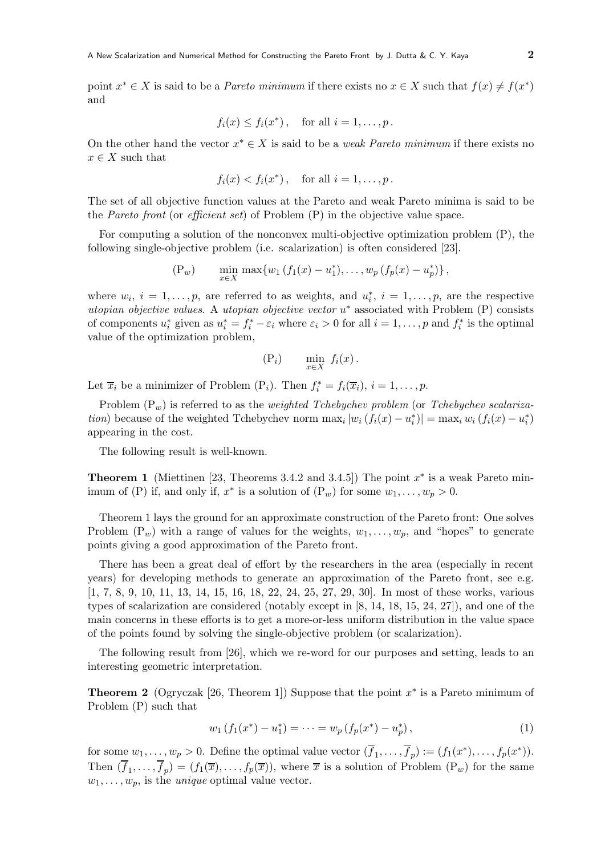point  $x^* \in X$  is said to be a *Pareto minimum* if there exists no  $x \in X$  such that  $f(x) \neq f(x^*)$ and

$$
f_i(x) \leq f_i(x^*)
$$
, for all  $i = 1, ..., p$ .

On the other hand the vector  $x^* \in X$  is said to be a *weak Pareto minimum* if there exists no  $x \in X$  such that

$$
f_i(x) < f_i(x^*) \,, \quad \text{for all } i = 1, \ldots, p \,.
$$

The set of all objective function values at the Pareto and weak Pareto minima is said to be the *Pareto front* (or *efficient set*) of Problem (P) in the objective value space.

For computing a solution of the nonconvex multi-objective optimization problem (P), the following single-objective problem (i.e. scalarization) is often considered [23].

$$
(P_w) \qquad \min_{x \in X} \max \{ w_1 \left( f_1(x) - u_1^* \right), \dots, w_p \left( f_p(x) - u_p^* \right) \},
$$

where  $w_i$ ,  $i = 1, \ldots, p$ , are referred to as weights, and  $u_i^*$ ,  $i = 1, \ldots, p$ , are the respective utopian objective values. A utopian objective vector  $u^*$  associated with Problem (P) consists of components  $u_i^*$  given as  $u_i^* = f_i^* - \varepsilon_i$  where  $\varepsilon_i > 0$  for all  $i = 1, ..., p$  and  $f_i^*$  is the optimal value of the optimization problem,

$$
(\mathbf{P}_i) \qquad \min_{x \in X} f_i(x) \, .
$$

Let  $\overline{x}_i$  be a minimizer of Problem (P<sub>i</sub>). Then  $f_i^* = f_i(\overline{x}_i)$ ,  $i = 1, \ldots, p$ .

Problem  $(P_w)$  is referred to as the *weighted Tchebychev problem* (or Tchebychev scalariza*tion*) because of the weighted Tchebychev norm  $\max_i |w_i (f_i(x) - u_i^*)| = \max_i w_i (f_i(x) - u_i^*)$ appearing in the cost.

The following result is well-known.

**Theorem 1** (Miettinen [23, Theorems 3.4.2 and 3.4.5]) The point  $x^*$  is a weak Pareto minimum of (P) if, and only if,  $x^*$  is a solution of  $(P_w)$  for some  $w_1, \ldots, w_p > 0$ .

Theorem 1 lays the ground for an approximate construction of the Pareto front: One solves Problem  $(P_w)$  with a range of values for the weights,  $w_1, \ldots, w_p$ , and "hopes" to generate points giving a good approximation of the Pareto front.

There has been a great deal of effort by the researchers in the area (especially in recent years) for developing methods to generate an approximation of the Pareto front, see e.g. [1, 7, 8, 9, 10, 11, 13, 14, 15, 16, 18, 22, 24, 25, 27, 29, 30]. In most of these works, various types of scalarization are considered (notably except in [8, 14, 18, 15, 24, 27]), and one of the main concerns in these efforts is to get a more-or-less uniform distribution in the value space of the points found by solving the single-objective problem (or scalarization).

The following result from [26], which we re-word for our purposes and setting, leads to an interesting geometric interpretation.

**Theorem 2** (Ogryczak [26, Theorem 1]) Suppose that the point  $x^*$  is a Pareto minimum of Problem (P) such that

$$
w_1(f_1(x^*) - u_1^*) = \dots = w_p(f_p(x^*) - u_p^*), \tag{1}
$$

for some  $w_1, \ldots, w_p > 0$ . Define the optimal value vector  $(\overline{f}_1, \ldots, \overline{f}_p) := (f_1(x^*), \ldots, f_p(x^*))$ . Then  $(f_1,\ldots,f_p)=(f_1(\overline{x}),\ldots,f_p(\overline{x}))$ , where  $\overline{x}$  is a solution of Problem  $(P_w)$  for the same  $w_1, \ldots, w_p$ , is the *unique* optimal value vector.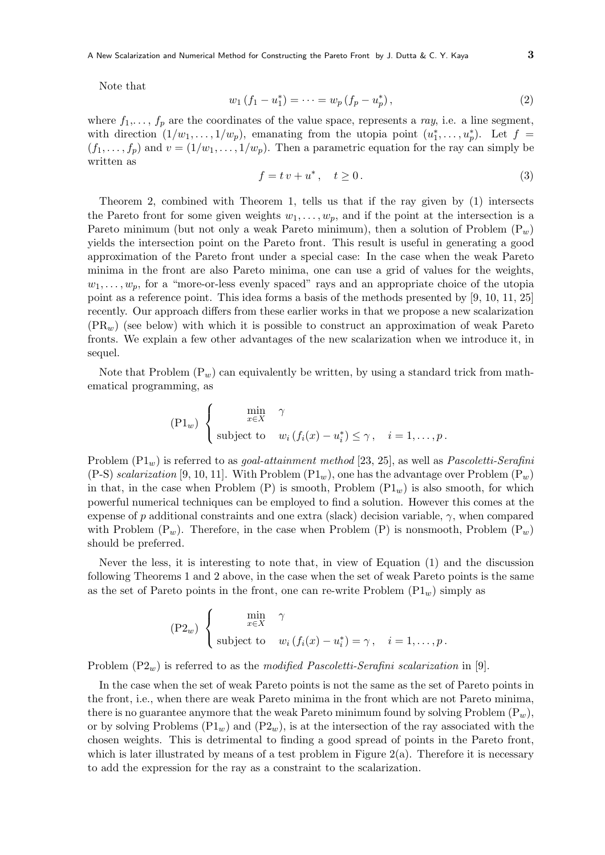A New Scalarization and Numerical Method for Constructing the Pareto Front by J. Dutta & C. Y. Kaya  $3$ 

Note that

$$
w_1(f_1 - u_1^*) = \dots = w_p(f_p - u_p^*),
$$
\n(2)

where  $f_1, \ldots, f_p$  are the coordinates of the value space, represents a ray, i.e. a line segment, with direction  $(1/w_1, \ldots, 1/w_p)$ , emanating from the utopia point  $(u_1^*, \ldots, u_p^*)$ . Let  $f =$  $(f_1,\ldots,f_p)$  and  $v=(1/w_1,\ldots,1/w_p)$ . Then a parametric equation for the ray can simply be written as

$$
f = tv + u^*, \quad t \ge 0. \tag{3}
$$

Theorem 2, combined with Theorem 1, tells us that if the ray given by (1) intersects the Pareto front for some given weights  $w_1, \ldots, w_p$ , and if the point at the intersection is a Pareto minimum (but not only a weak Pareto minimum), then a solution of Problem  $(P_w)$ yields the intersection point on the Pareto front. This result is useful in generating a good approximation of the Pareto front under a special case: In the case when the weak Pareto minima in the front are also Pareto minima, one can use a grid of values for the weights,  $w_1, \ldots, w_p$ , for a "more-or-less evenly spaced" rays and an appropriate choice of the utopia point as a reference point. This idea forms a basis of the methods presented by [9, 10, 11, 25] recently. Our approach differs from these earlier works in that we propose a new scalarization  $(PR_w)$  (see below) with which it is possible to construct an approximation of weak Pareto fronts. We explain a few other advantages of the new scalarization when we introduce it, in sequel.

Note that Problem  $(P_w)$  can equivalently be written, by using a standard trick from mathematical programming, as

$$
(\text{P1}_w) \begin{cases} \min_{x \in X} & \gamma \\ \text{subject to} & w_i \left( f_i(x) - u_i^* \right) \leq \gamma, \quad i = 1, \dots, p. \end{cases}
$$

Problem  $(\text{P1}_w)$  is referred to as *goal-attainment method* [23, 25], as well as *Pascoletti-Serafini*  $(P-S)$  scalarization [9, 10, 11]. With Problem  $(P1_w)$ , one has the advantage over Problem  $(P_w)$ in that, in the case when Problem  $(P)$  is smooth, Problem  $(P1_w)$  is also smooth, for which powerful numerical techniques can be employed to find a solution. However this comes at the expense of p additional constraints and one extra (slack) decision variable,  $\gamma$ , when compared with Problem  $(P_w)$ . Therefore, in the case when Problem  $(P)$  is nonsmooth, Problem  $(P_w)$ should be preferred.

Never the less, it is interesting to note that, in view of Equation (1) and the discussion following Theorems 1 and 2 above, in the case when the set of weak Pareto points is the same as the set of Pareto points in the front, one can re-write Problem  $(Pl_w)$  simply as

$$
\begin{pmatrix} P2_w \end{pmatrix} \begin{cases} \min_{x \in X} & \gamma \\ \text{subject to} & w_i \left( f_i(x) - u_i^* \right) = \gamma, \quad i = 1, \dots, p. \end{cases}
$$

Problem  $(P2_w)$  is referred to as the modified Pascoletti-Serafini scalarization in [9].

In the case when the set of weak Pareto points is not the same as the set of Pareto points in the front, i.e., when there are weak Pareto minima in the front which are not Pareto minima, there is no guarantee anymore that the weak Pareto minimum found by solving Problem  $(P_w)$ , or by solving Problems  $(Pl_w)$  and  $(Pl_w)$ , is at the intersection of the ray associated with the chosen weights. This is detrimental to finding a good spread of points in the Pareto front, which is later illustrated by means of a test problem in Figure  $2(a)$ . Therefore it is necessary to add the expression for the ray as a constraint to the scalarization.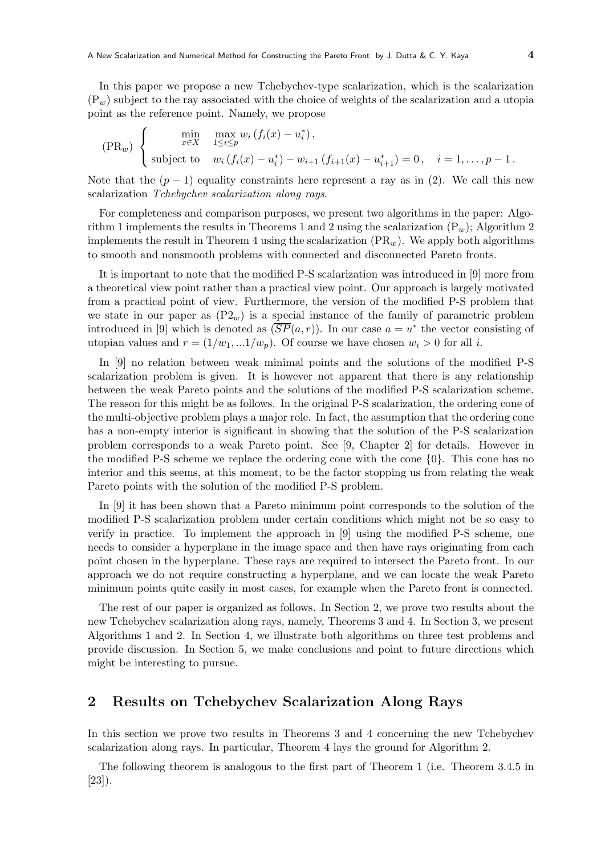In this paper we propose a new Tchebychev-type scalarization, which is the scalarization  $(P_w)$  subject to the ray associated with the choice of weights of the scalarization and a utopia point as the reference point. Namely, we propose

$$
\text{(PR}_w) \begin{cases} \min_{x \in X} & \max_{1 \le i \le p} w_i \left( f_i(x) - u_i^* \right), \\ \text{subject to} & w_i \left( f_i(x) - u_i^* \right) - w_{i+1} \left( f_{i+1}(x) - u_{i+1}^* \right) = 0, \quad i = 1, \dots, p-1. \end{cases}
$$

Note that the  $(p-1)$  equality constraints here represent a ray as in (2). We call this new scalarization Tchebychev scalarization along rays.

For completeness and comparison purposes, we present two algorithms in the paper: Algorithm 1 implements the results in Theorems 1 and 2 using the scalarization  $(P_w)$ ; Algorithm 2 implements the result in Theorem 4 using the scalarization  $(\text{PR}_w)$ . We apply both algorithms to smooth and nonsmooth problems with connected and disconnected Pareto fronts.

It is important to note that the modified P-S scalarization was introduced in [9] more from a theoretical view point rather than a practical view point. Our approach is largely motivated from a practical point of view. Furthermore, the version of the modified P-S problem that we state in our paper as  $(P2_w)$  is a special instance of the family of parametric problem introduced in [9] which is denoted as  $(\overline{SP}(a, r))$ . In our case  $a = u^*$  the vector consisting of utopian values and  $r = (1/w_1, ... 1/w_n)$ . Of course we have chosen  $w_i > 0$  for all i.

In [9] no relation between weak minimal points and the solutions of the modified P-S scalarization problem is given. It is however not apparent that there is any relationship between the weak Pareto points and the solutions of the modified P-S scalarization scheme. The reason for this might be as follows. In the original P-S scalarization, the ordering cone of the multi-objective problem plays a major role. In fact, the assumption that the ordering cone has a non-empty interior is significant in showing that the solution of the P-S scalarization problem corresponds to a weak Pareto point. See [9, Chapter 2] for details. However in the modified P-S scheme we replace the ordering cone with the cone {0}. This cone has no interior and this seems, at this moment, to be the factor stopping us from relating the weak Pareto points with the solution of the modified P-S problem.

In [9] it has been shown that a Pareto minimum point corresponds to the solution of the modified P-S scalarization problem under certain conditions which might not be so easy to verify in practice. To implement the approach in [9] using the modified P-S scheme, one needs to consider a hyperplane in the image space and then have rays originating from each point chosen in the hyperplane. These rays are required to intersect the Pareto front. In our approach we do not require constructing a hyperplane, and we can locate the weak Pareto minimum points quite easily in most cases, for example when the Pareto front is connected.

The rest of our paper is organized as follows. In Section 2, we prove two results about the new Tchebychev scalarization along rays, namely, Theorems 3 and 4. In Section 3, we present Algorithms 1 and 2. In Section 4, we illustrate both algorithms on three test problems and provide discussion. In Section 5, we make conclusions and point to future directions which might be interesting to pursue.

### 2 Results on Tchebychev Scalarization Along Rays

In this section we prove two results in Theorems 3 and 4 concerning the new Tchebychev scalarization along rays. In particular, Theorem 4 lays the ground for Algorithm 2.

The following theorem is analogous to the first part of Theorem 1 (i.e. Theorem 3.4.5 in [23]).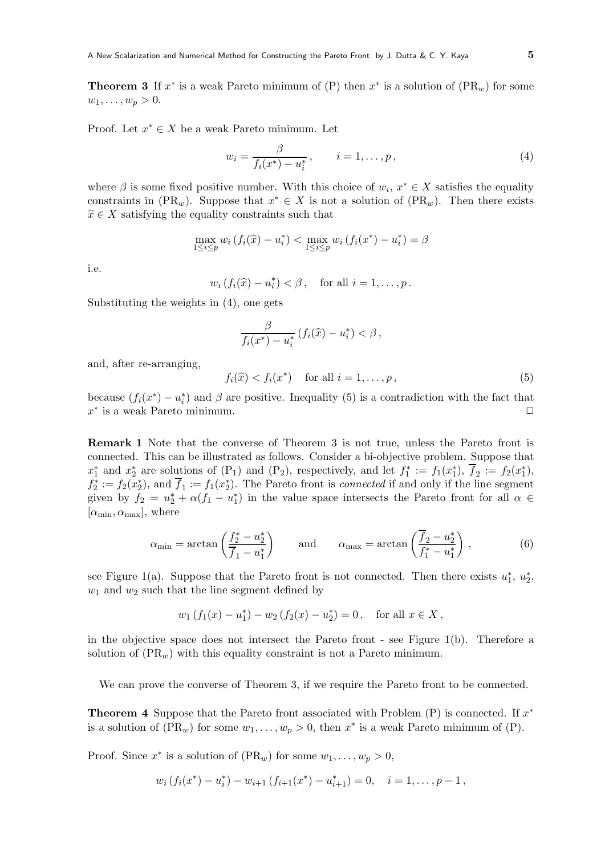**Theorem 3** If  $x^*$  is a weak Pareto minimum of (P) then  $x^*$  is a solution of (PR<sub>w</sub>) for some  $w_1,\ldots,w_p > 0.$ 

Proof. Let  $x^* \in X$  be a weak Pareto minimum. Let

$$
w_i = \frac{\beta}{f_i(x^*) - u_i^*}, \qquad i = 1, \dots, p,
$$
\n(4)

where  $\beta$  is some fixed positive number. With this choice of  $w_i, x^* \in X$  satisfies the equality constraints in (PR<sub>w</sub>). Suppose that  $x^* \in X$  is not a solution of (PR<sub>w</sub>). Then there exists  $\widehat{x} \in X$  satisfying the equality constraints such that

$$
\max_{1 \le i \le p} w_i (f_i(\hat{x}) - u_i^*) < \max_{1 \le i \le p} w_i (f_i(x^*) - u_i^*) = \beta
$$

i.e.

$$
w_i
$$
  $(f_i(\widehat{x}) - u_i^*) < \beta$ , for all  $i = 1, ..., p$ .

Substituting the weights in (4), one gets

$$
\frac{\beta}{f_i(x^*) - u_i^*} \left( f_i(\widehat{x}) - u_i^* \right) < \beta \,,
$$

and, after re-arranging,

$$
f_i(\widehat{x}) < f_i(x^*) \quad \text{for all } i = 1, \dots, p \,, \tag{5}
$$

because  $(f_i(x^*) - u_i^*)$  and  $\beta$  are positive. Inequality (5) is a contradiction with the fact that  $x^*$  is a weak Pareto minimum.

Remark 1 Note that the converse of Theorem 3 is not true, unless the Pareto front is connected. This can be illustrated as follows. Consider a bi-objective problem. Suppose that  $x_1^*$  and  $x_2^*$  are solutions of  $(P_1)$  and  $(P_2)$ , respectively, and let  $f_1^* := f_1(x_1^*), \overline{f}_2 := f_2(x_1^*),$  $f_2^* := f_2(x_2^*)$ , and  $\overline{f}_1 := f_1(x_2^*)$ . The Pareto front is *connected* if and only if the line segment given by  $f_2 = u_2^* + \alpha(f_1 - u_1^*)$  in the value space intersects the Pareto front for all  $\alpha \in$  $[\alpha_{\min}, \alpha_{\max}]$ , where

$$
\alpha_{\min} = \arctan\left(\frac{f_2^* - u_2^*}{f_1 - u_1^*}\right) \quad \text{and} \quad \alpha_{\max} = \arctan\left(\frac{\overline{f}_2 - u_2^*}{f_1^* - u_1^*}\right), \tag{6}
$$

see Figure 1(a). Suppose that the Pareto front is not connected. Then there exists  $u_1^*, u_2^*,$  $w_1$  and  $w_2$  such that the line segment defined by

$$
w_1(f_1(x) - u_1^*) - w_2(f_2(x) - u_2^*) = 0
$$
, for all  $x \in X$ ,

in the objective space does not intersect the Pareto front - see Figure 1(b). Therefore a solution of  $(\text{PR}_w)$  with this equality constraint is not a Pareto minimum.

We can prove the converse of Theorem 3, if we require the Pareto front to be connected.

**Theorem 4** Suppose that the Pareto front associated with Problem  $(P)$  is connected. If  $x^*$ is a solution of  $(PR_w)$  for some  $w_1, \ldots, w_p > 0$ , then  $x^*$  is a weak Pareto minimum of  $(P)$ .

Proof. Since  $x^*$  is a solution of  $(\text{PR}_w)$  for some  $w_1, \ldots, w_p > 0$ ,

$$
w_i
$$
  $(f_i(x^*) - u_i^*) - w_{i+1}$   $(f_{i+1}(x^*) - u_{i+1}^*) = 0, \quad i = 1, ..., p-1$ ,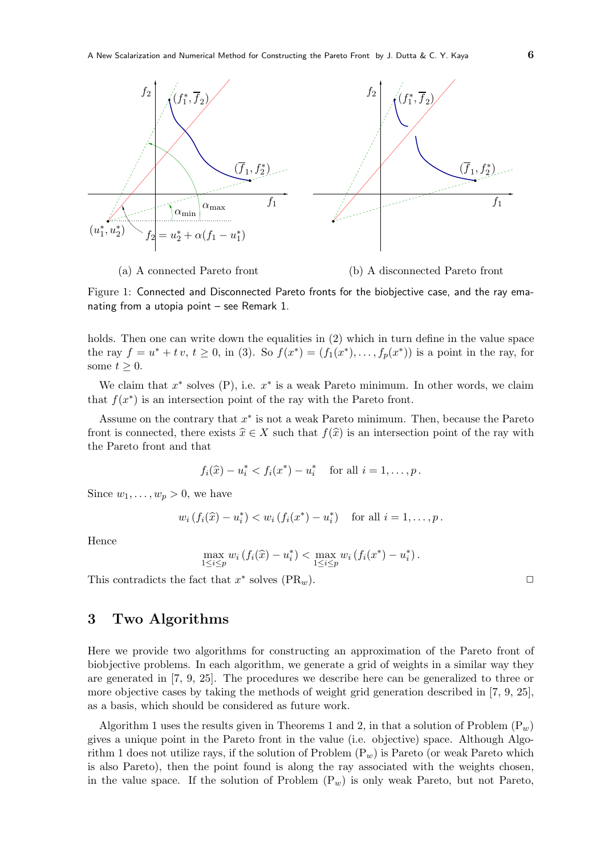

(a) A connected Pareto front

(b) A disconnected Pareto front

Figure 1: Connected and Disconnected Pareto fronts for the biobjective case, and the ray emanating from a utopia point – see Remark 1.

holds. Then one can write down the equalities in (2) which in turn define in the value space the ray  $f = u^* + tv, t \ge 0$ , in (3). So  $f(x^*) = (f_1(x^*), \ldots, f_p(x^*))$  is a point in the ray, for some  $t \geq 0$ .

We claim that  $x^*$  solves (P), i.e.  $x^*$  is a weak Pareto minimum. In other words, we claim that  $f(x^*)$  is an intersection point of the ray with the Pareto front.

Assume on the contrary that  $x^*$  is not a weak Pareto minimum. Then, because the Pareto front is connected, there exists  $\hat{x} \in X$  such that  $f(\hat{x})$  is an intersection point of the ray with the Pareto front and that

$$
f_i(\hat{x}) - u_i^* < f_i(x^*) - u_i^*
$$
 for all  $i = 1, ..., p$ .

Since  $w_1, \ldots, w_p > 0$ , we have

$$
w_i
$$
  $(f_i(\hat{x}) - u_i^*) < w_i$   $(f_i(x^*) - u_i^*)$  for all  $i = 1, ..., p$ .

Hence

$$
\max_{1 \le i \le p} w_i (f_i(\hat{x}) - u_i^*) < \max_{1 \le i \le p} w_i (f_i(x^*) - u_i^*)
$$

This contradicts the fact that  $x^*$  solves  $(\text{PR}_w)$ .

### 3 Two Algorithms

Here we provide two algorithms for constructing an approximation of the Pareto front of biobjective problems. In each algorithm, we generate a grid of weights in a similar way they are generated in [7, 9, 25]. The procedures we describe here can be generalized to three or more objective cases by taking the methods of weight grid generation described in [7, 9, 25], as a basis, which should be considered as future work.

Algorithm 1 uses the results given in Theorems 1 and 2, in that a solution of Problem  $(P_w)$ gives a unique point in the Pareto front in the value (i.e. objective) space. Although Algorithm 1 does not utilize rays, if the solution of Problem  $(P_w)$  is Pareto (or weak Pareto which is also Pareto), then the point found is along the ray associated with the weights chosen, in the value space. If the solution of Problem  $(P_w)$  is only weak Pareto, but not Pareto,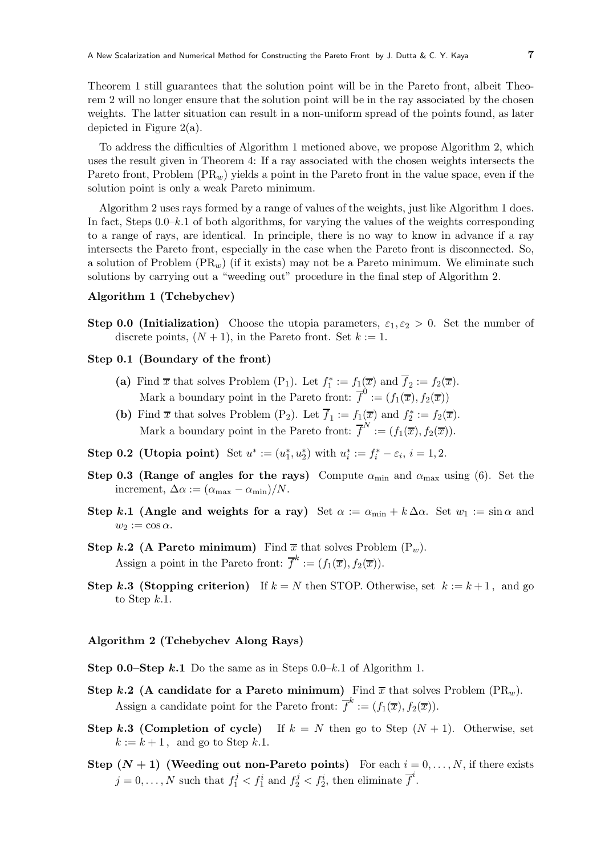Theorem 1 still guarantees that the solution point will be in the Pareto front, albeit Theorem 2 will no longer ensure that the solution point will be in the ray associated by the chosen weights. The latter situation can result in a non-uniform spread of the points found, as later depicted in Figure 2(a).

To address the difficulties of Algorithm 1 metioned above, we propose Algorithm 2, which uses the result given in Theorem 4: If a ray associated with the chosen weights intersects the Pareto front, Problem  $(\text{PR}_w)$  yields a point in the Pareto front in the value space, even if the solution point is only a weak Pareto minimum.

Algorithm 2 uses rays formed by a range of values of the weights, just like Algorithm 1 does. In fact, Steps  $0.0-k.1$  of both algorithms, for varying the values of the weights corresponding to a range of rays, are identical. In principle, there is no way to know in advance if a ray intersects the Pareto front, especially in the case when the Pareto front is disconnected. So, a solution of Problem  $(\text{PR}_w)$  (if it exists) may not be a Pareto minimum. We eliminate such solutions by carrying out a "weeding out" procedure in the final step of Algorithm 2.

#### Algorithm 1 (Tchebychev)

Step 0.0 (Initialization) Choose the utopia parameters,  $\varepsilon_1, \varepsilon_2 > 0$ . Set the number of discrete points,  $(N + 1)$ , in the Pareto front. Set  $k := 1$ .

#### Step 0.1 (Boundary of the front)

- (a) Find  $\bar{x}$  that solves Problem (P<sub>1</sub>). Let  $f_1^* := f_1(\bar{x})$  and  $\bar{f}_2 := f_2(\bar{x})$ . Mark a boundary point in the Pareto front:  $\overline{f}^0 := (f_1(\overline{x}), f_2(\overline{x}))$
- (b) Find  $\bar{x}$  that solves Problem (P<sub>2</sub>). Let  $\bar{f}_1 := f_1(\bar{x})$  and  $f_2^* := f_2(\bar{x})$ . Mark a boundary point in the Pareto front:  $\overline{f}^N := (f_1(\overline{x}), f_2(\overline{x})).$
- **Step 0.2 (Utopia point)** Set  $u^* := (u_1^*, u_2^*)$  with  $u_i^* := f_i^* \varepsilon_i$ ,  $i = 1, 2$ .
- Step 0.3 (Range of angles for the rays) Compute  $\alpha_{\min}$  and  $\alpha_{\max}$  using (6). Set the increment,  $\Delta \alpha := (\alpha_{\text{max}} - \alpha_{\text{min}})/N$ .
- Step k.1 (Angle and weights for a ray) Set  $\alpha := \alpha_{\min} + k \Delta \alpha$ . Set  $w_1 := \sin \alpha$  and  $w_2 := \cos \alpha.$
- Step k.2 (A Pareto minimum) Find  $\bar{x}$  that solves Problem  $(P_w)$ . Assign a point in the Pareto front:  $\overline{f}^k := (f_1(\overline{x}), f_2(\overline{x})).$
- Step k.3 (Stopping criterion) If  $k = N$  then STOP. Otherwise, set  $k := k + 1$ , and go to Step  $k.1$ .

#### Algorithm 2 (Tchebychev Along Rays)

- **Step 0.0–Step k.1** Do the same as in Steps  $0.0-k.1$  of Algorithm 1.
- Step k.2 (A candidate for a Pareto minimum) Find  $\overline{x}$  that solves Problem (PR<sub>w</sub>). Assign a candidate point for the Pareto front:  $\overline{f}^k := (f_1(\overline{x}), f_2(\overline{x})).$
- Step k.3 (Completion of cycle) If  $k = N$  then go to Step  $(N + 1)$ . Otherwise, set  $k := k + 1$ , and go to Step k.1.
- Step  $(N + 1)$  (Weeding out non-Pareto points) For each  $i = 0, \ldots, N$ , if there exists  $j = 0, \ldots, N$  such that  $f_1^j < f_1^i$  and  $f_2^j < f_2^i$ , then eliminate  $\overline{f}^i$ .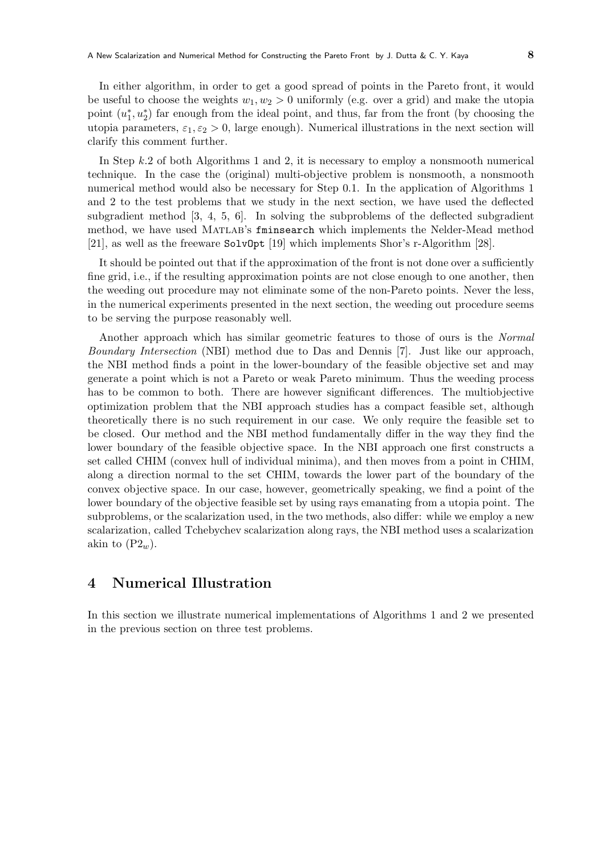In either algorithm, in order to get a good spread of points in the Pareto front, it would be useful to choose the weights  $w_1, w_2 > 0$  uniformly (e.g. over a grid) and make the utopia point  $(u_1^*, u_2^*)$  far enough from the ideal point, and thus, far from the front (by choosing the utopia parameters,  $\varepsilon_1, \varepsilon_2 > 0$ , large enough). Numerical illustrations in the next section will clarify this comment further.

In Step k.2 of both Algorithms 1 and 2, it is necessary to employ a nonsmooth numerical technique. In the case the (original) multi-objective problem is nonsmooth, a nonsmooth numerical method would also be necessary for Step 0.1. In the application of Algorithms 1 and 2 to the test problems that we study in the next section, we have used the deflected subgradient method [3, 4, 5, 6]. In solving the subproblems of the deflected subgradient method, we have used Matlab's fminsearch which implements the Nelder-Mead method [21], as well as the freeware SolvOpt [19] which implements Shor's r-Algorithm [28].

It should be pointed out that if the approximation of the front is not done over a sufficiently fine grid, i.e., if the resulting approximation points are not close enough to one another, then the weeding out procedure may not eliminate some of the non-Pareto points. Never the less, in the numerical experiments presented in the next section, the weeding out procedure seems to be serving the purpose reasonably well.

Another approach which has similar geometric features to those of ours is the Normal Boundary Intersection (NBI) method due to Das and Dennis [7]. Just like our approach, the NBI method finds a point in the lower-boundary of the feasible objective set and may generate a point which is not a Pareto or weak Pareto minimum. Thus the weeding process has to be common to both. There are however significant differences. The multiobjective optimization problem that the NBI approach studies has a compact feasible set, although theoretically there is no such requirement in our case. We only require the feasible set to be closed. Our method and the NBI method fundamentally differ in the way they find the lower boundary of the feasible objective space. In the NBI approach one first constructs a set called CHIM (convex hull of individual minima), and then moves from a point in CHIM, along a direction normal to the set CHIM, towards the lower part of the boundary of the convex objective space. In our case, however, geometrically speaking, we find a point of the lower boundary of the objective feasible set by using rays emanating from a utopia point. The subproblems, or the scalarization used, in the two methods, also differ: while we employ a new scalarization, called Tchebychev scalarization along rays, the NBI method uses a scalarization akin to  $(P2_w)$ .

## 4 Numerical Illustration

In this section we illustrate numerical implementations of Algorithms 1 and 2 we presented in the previous section on three test problems.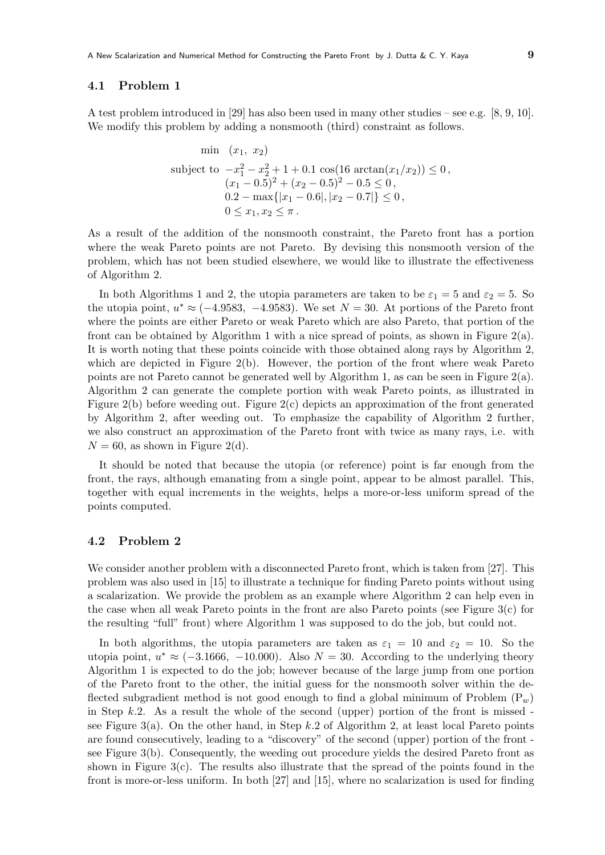#### 4.1 Problem 1

A test problem introduced in [29] has also been used in many other studies – see e.g. [8, 9, 10]. We modify this problem by adding a nonsmooth (third) constraint as follows.

$$
\begin{aligned}\n\min \quad &(x_1, \ x_2) \\
\text{subject to } -x_1^2 - x_2^2 + 1 + 0.1 \cos(16 \arctan(x_1/x_2)) \le 0, \\
&(x_1 - 0.5)^2 + (x_2 - 0.5)^2 - 0.5 \le 0, \\
&0.2 - \max\{|x_1 - 0.6|, |x_2 - 0.7|\} \le 0, \\
&0 \le x_1, x_2 \le \pi.\n\end{aligned}
$$

As a result of the addition of the nonsmooth constraint, the Pareto front has a portion where the weak Pareto points are not Pareto. By devising this nonsmooth version of the problem, which has not been studied elsewhere, we would like to illustrate the effectiveness of Algorithm 2.

In both Algorithms 1 and 2, the utopia parameters are taken to be  $\varepsilon_1 = 5$  and  $\varepsilon_2 = 5$ . So the utopia point,  $u^* \approx (-4.9583, -4.9583)$ . We set  $N = 30$ . At portions of the Pareto front where the points are either Pareto or weak Pareto which are also Pareto, that portion of the front can be obtained by Algorithm 1 with a nice spread of points, as shown in Figure  $2(a)$ . It is worth noting that these points coincide with those obtained along rays by Algorithm 2, which are depicted in Figure 2(b). However, the portion of the front where weak Pareto points are not Pareto cannot be generated well by Algorithm 1, as can be seen in Figure 2(a). Algorithm 2 can generate the complete portion with weak Pareto points, as illustrated in Figure 2(b) before weeding out. Figure 2(c) depicts an approximation of the front generated by Algorithm 2, after weeding out. To emphasize the capability of Algorithm 2 further, we also construct an approximation of the Pareto front with twice as many rays, i.e. with  $N = 60$ , as shown in Figure 2(d).

It should be noted that because the utopia (or reference) point is far enough from the front, the rays, although emanating from a single point, appear to be almost parallel. This, together with equal increments in the weights, helps a more-or-less uniform spread of the points computed.

### 4.2 Problem 2

We consider another problem with a disconnected Pareto front, which is taken from [27]. This problem was also used in [15] to illustrate a technique for finding Pareto points without using a scalarization. We provide the problem as an example where Algorithm 2 can help even in the case when all weak Pareto points in the front are also Pareto points (see Figure 3(c) for the resulting "full" front) where Algorithm 1 was supposed to do the job, but could not.

In both algorithms, the utopia parameters are taken as  $\varepsilon_1 = 10$  and  $\varepsilon_2 = 10$ . So the utopia point,  $u^* \approx (-3.1666, -10.000)$ . Also  $N = 30$ . According to the underlying theory Algorithm 1 is expected to do the job; however because of the large jump from one portion of the Pareto front to the other, the initial guess for the nonsmooth solver within the deflected subgradient method is not good enough to find a global minimum of Problem  $(P_w)$ in Step  $k.2$ . As a result the whole of the second (upper) portion of the front is missed see Figure 3(a). On the other hand, in Step  $k.2$  of Algorithm 2, at least local Pareto points are found consecutively, leading to a "discovery" of the second (upper) portion of the front see Figure 3(b). Consequently, the weeding out procedure yields the desired Pareto front as shown in Figure 3(c). The results also illustrate that the spread of the points found in the front is more-or-less uniform. In both [27] and [15], where no scalarization is used for finding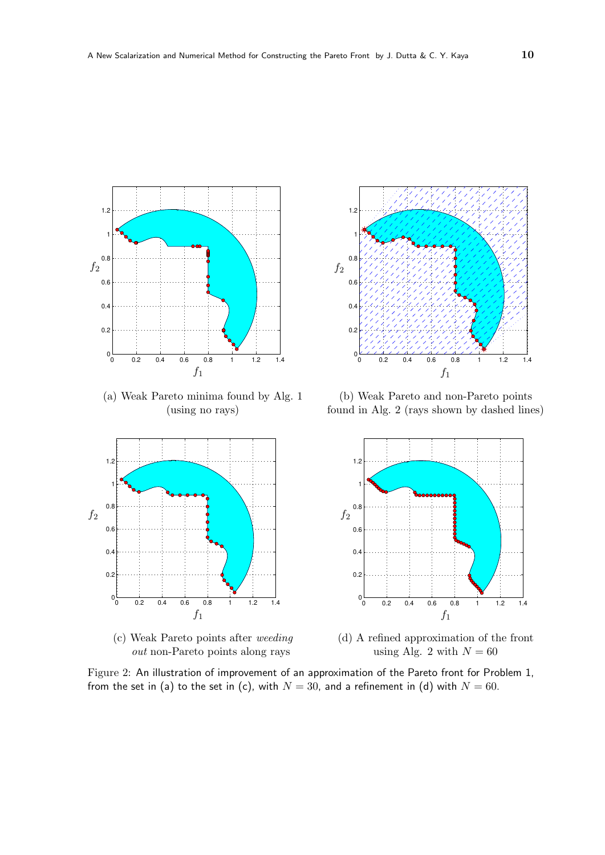

(a) Weak Pareto minima found by Alg. 1 (using no rays)



(c) Weak Pareto points after weeding out non-Pareto points along rays



(b) Weak Pareto and non-Pareto points found in Alg. 2 (rays shown by dashed lines)



(d) A refined approximation of the front using Alg. 2 with  $N = 60$ 

Figure 2: An illustration of improvement of an approximation of the Pareto front for Problem 1, from the set in (a) to the set in (c), with  $N = 30$ , and a refinement in (d) with  $N = 60$ .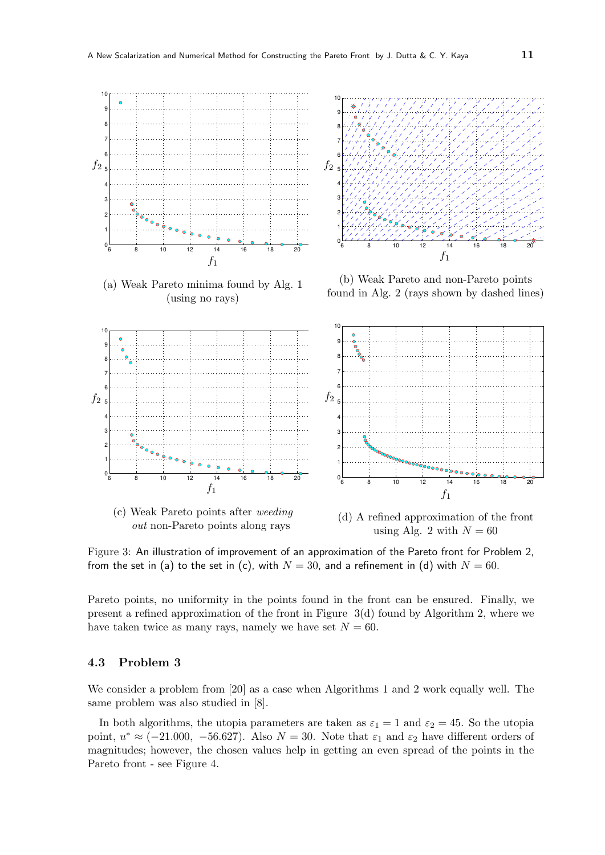

(a) Weak Pareto minima found by Alg. 1 (using no rays)



(b) Weak Pareto and non-Pareto points found in Alg. 2 (rays shown by dashed lines)







(d) A refined approximation of the front using Alg. 2 with  $N = 60$ 

Figure 3: An illustration of improvement of an approximation of the Pareto front for Problem 2, from the set in (a) to the set in (c), with  $N = 30$ , and a refinement in (d) with  $N = 60$ .

Pareto points, no uniformity in the points found in the front can be ensured. Finally, we present a refined approximation of the front in Figure 3(d) found by Algorithm 2, where we have taken twice as many rays, namely we have set  $N = 60$ .

### 4.3 Problem 3

We consider a problem from [20] as a case when Algorithms 1 and 2 work equally well. The same problem was also studied in [8].

In both algorithms, the utopia parameters are taken as  $\varepsilon_1 = 1$  and  $\varepsilon_2 = 45$ . So the utopia point,  $u^* \approx (-21.000, -56.627)$ . Also  $N = 30$ . Note that  $\varepsilon_1$  and  $\varepsilon_2$  have different orders of magnitudes; however, the chosen values help in getting an even spread of the points in the Pareto front - see Figure 4.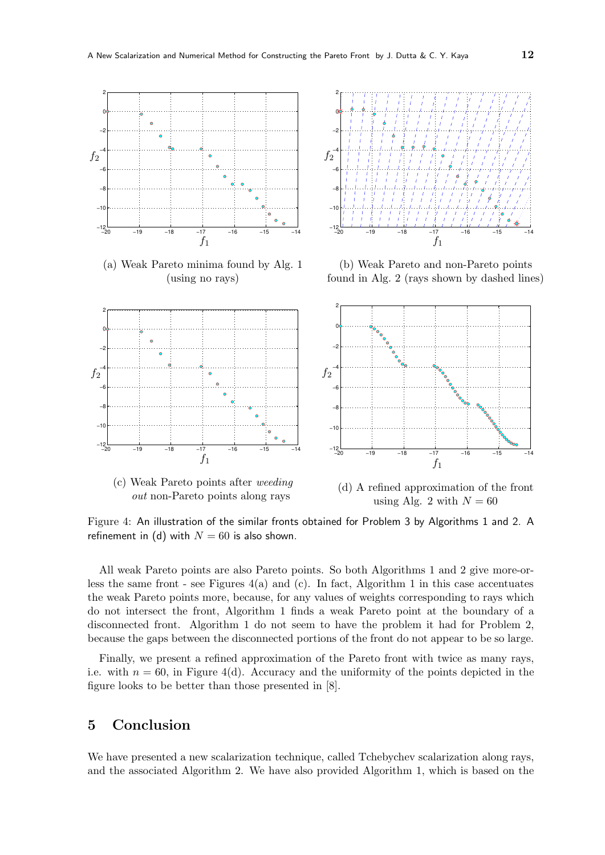

(a) Weak Pareto minima found by Alg. 1 (using no rays)

refinement in (d) with  $N = 60$  is also shown.



(b) Weak Pareto and non-Pareto points found in Alg. 2 (rays shown by dashed lines)



using Alg. 2 with  $N = 60$ Figure 4: An illustration of the similar fronts obtained for Problem 3 by Algorithms 1 and 2. A

All weak Pareto points are also Pareto points. So both Algorithms 1 and 2 give more-orless the same front - see Figures  $4(a)$  and (c). In fact, Algorithm 1 in this case accentuates the weak Pareto points more, because, for any values of weights corresponding to rays which do not intersect the front, Algorithm 1 finds a weak Pareto point at the boundary of a disconnected front. Algorithm 1 do not seem to have the problem it had for Problem 2, because the gaps between the disconnected portions of the front do not appear to be so large.

Finally, we present a refined approximation of the Pareto front with twice as many rays, i.e. with  $n = 60$ , in Figure 4(d). Accuracy and the uniformity of the points depicted in the figure looks to be better than those presented in [8].

### 5 Conclusion

We have presented a new scalarization technique, called Tchebychev scalarization along rays, and the associated Algorithm 2. We have also provided Algorithm 1, which is based on the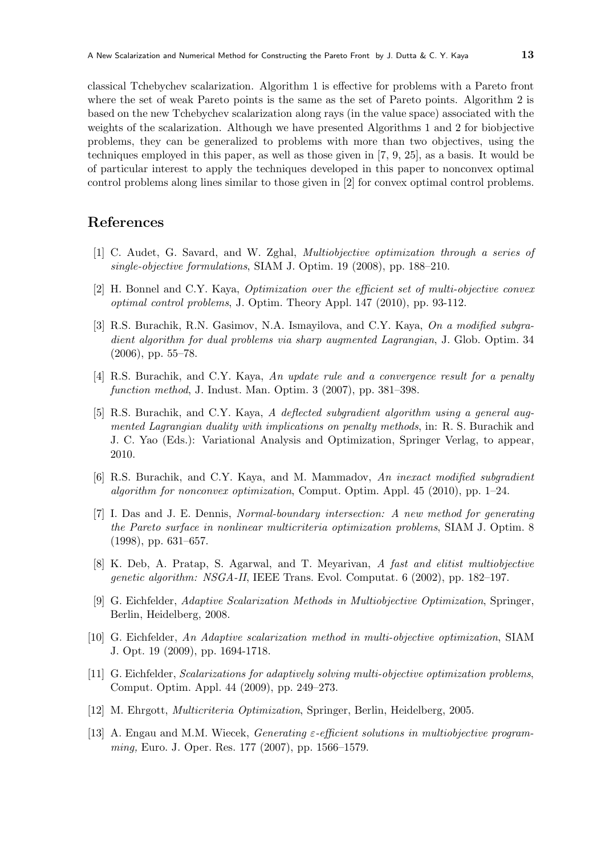classical Tchebychev scalarization. Algorithm 1 is effective for problems with a Pareto front where the set of weak Pareto points is the same as the set of Pareto points. Algorithm 2 is based on the new Tchebychev scalarization along rays (in the value space) associated with the weights of the scalarization. Although we have presented Algorithms 1 and 2 for biobjective problems, they can be generalized to problems with more than two objectives, using the techniques employed in this paper, as well as those given in [7, 9, 25], as a basis. It would be of particular interest to apply the techniques developed in this paper to nonconvex optimal control problems along lines similar to those given in [2] for convex optimal control problems.

### References

- [1] C. Audet, G. Savard, and W. Zghal, Multiobjective optimization through a series of single-objective formulations, SIAM J. Optim. 19 (2008), pp. 188–210.
- [2] H. Bonnel and C.Y. Kaya, Optimization over the efficient set of multi-objective convex optimal control problems, J. Optim. Theory Appl. 147 (2010), pp. 93-112.
- [3] R.S. Burachik, R.N. Gasimov, N.A. Ismayilova, and C.Y. Kaya, On a modified subgradient algorithm for dual problems via sharp augmented Lagrangian, J. Glob. Optim. 34 (2006), pp. 55–78.
- [4] R.S. Burachik, and C.Y. Kaya, An update rule and a convergence result for a penalty function method, J. Indust. Man. Optim. 3 (2007), pp. 381–398.
- [5] R.S. Burachik, and C.Y. Kaya, A deflected subgradient algorithm using a general augmented Lagrangian duality with implications on penalty methods, in: R. S. Burachik and J. C. Yao (Eds.): Variational Analysis and Optimization, Springer Verlag, to appear, 2010.
- [6] R.S. Burachik, and C.Y. Kaya, and M. Mammadov, An inexact modified subgradient algorithm for nonconvex optimization, Comput. Optim. Appl. 45 (2010), pp. 1–24.
- [7] I. Das and J. E. Dennis, Normal-boundary intersection: A new method for generating the Pareto surface in nonlinear multicriteria optimization problems, SIAM J. Optim. 8 (1998), pp. 631–657.
- [8] K. Deb, A. Pratap, S. Agarwal, and T. Meyarivan, A fast and elitist multiobjective genetic algorithm: NSGA-II, IEEE Trans. Evol. Computat. 6 (2002), pp. 182–197.
- [9] G. Eichfelder, Adaptive Scalarization Methods in Multiobjective Optimization, Springer, Berlin, Heidelberg, 2008.
- [10] G. Eichfelder, An Adaptive scalarization method in multi-objective optimization, SIAM J. Opt. 19 (2009), pp. 1694-1718.
- [11] G. Eichfelder, Scalarizations for adaptively solving multi-objective optimization problems, Comput. Optim. Appl. 44 (2009), pp. 249–273.
- [12] M. Ehrgott, Multicriteria Optimization, Springer, Berlin, Heidelberg, 2005.
- [13] A. Engau and M.M. Wiecek, Generating ε-efficient solutions in multiobjective programming, Euro. J. Oper. Res. 177 (2007), pp. 1566–1579.